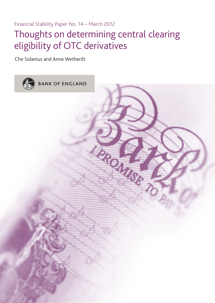Financial Stability Paper No. 14 – March 2012 Thoughts on determining central clearing eligibility of OTC derivatives

Che Sidanius and Anne Wetherilt

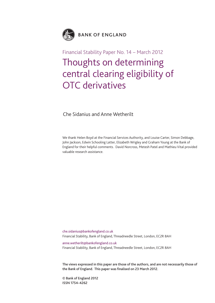

## Financial Stability Paper No. 14 – March 2012 Thoughts on determining central clearing eligibility of OTC derivatives

Che Sidanius and Anne Wetherilt

We thank Helen Boyd at the Financial Services Authority, and Louise Carter, Simon Debbage, John Jackson, Edwin Schooling Latter, Elizabeth Wrigley and Graham Young at the Bank of England for their helpful comments. David Norcross, Metesh Patel and Mathieu Vital provided valuable research assistance.

che.sidanius@bankofengland.co.uk Financial Stability, Bank of England, Threadneedle Street, London, EC2R 8AH

anne.wetherilt@bankofengland.co.uk Financial Stability, Bank of England, Threadneedle Street, London, EC2R 8AH

**The views expressed in this paper are those of the authors, and are not necessarily those of the Bank of England. This paper was finalised on 23 March 2012.**

**© Bank of England 2012 ISSN 1754–4262**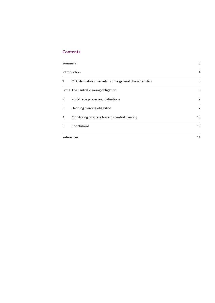## **Contents**

| Summary       |                                                       | 3  |  |
|---------------|-------------------------------------------------------|----|--|
| Introduction  | 4                                                     |    |  |
|               | OTC derivatives markets: some general characteristics | 5  |  |
|               | Box 1 The central clearing obligation                 | 5  |  |
| $\mathcal{P}$ | Post-trade processes: definitions                     | 7  |  |
| 3             | Defining clearing eligibility                         | 7  |  |
| 4             | Monitoring progress towards central clearing          | 10 |  |
| 5             | Conclusions                                           | 13 |  |
|               | References                                            | 14 |  |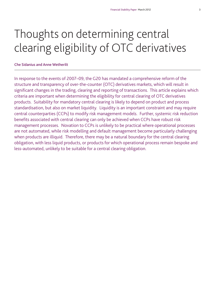# Thoughts on determining central clearing eligibility of OTC derivatives

## **Che Sidanius and Anne Wetherilt**

In response to the events of 2007–09, the G20 has mandated a comprehensive reform of the structure and transparency of over-the-counter (OTC) derivatives markets, which will result in significant changes in the trading, clearing and reporting of transactions. This article explains which criteria are important when determining the eligibility for central clearing of OTC derivatives products. Suitability for mandatory central clearing is likely to depend on product and process standardisation, but also on market liquidity. Liquidity is an important constraint and may require central counterparties (CCPs) to modify risk management models. Further, systemic risk reduction benefits associated with central clearing can only be achieved when CCPs have robust risk management processes. Novation to CCPs is unlikely to be practical where operational processes are not automated, while risk modelling and default management become particularly challenging when products are illiquid. Therefore, there may be a natural boundary for the central clearing obligation, with less liquid products, or products for which operational process remain bespoke and less-automated, unlikely to be suitable for a central clearing obligation.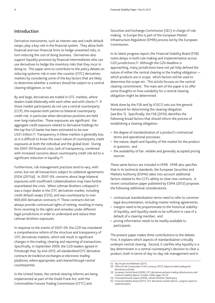## **Introduction**

Derivative instruments, such as interest rate and credit default swaps, play a key role in the financial system. They allow both financial and non-financial firms to hedge unwanted risks, in turn reducing the cost of doing business. Derivatives also support liquidity provision by financial intermediaries who can use derivatives to hedge the inventory risks that they incur in doing so. This paper aims to contribute to the policy debate on reducing systemic risk in over-the-counter (OTC) derivatives markets by considering some of the key factors that are likely to determine whether a contract should be subject to a central clearing obligation, or not.

By and large, derivatives are traded in OTC markets, where dealers trade bilaterally with each other and with clients.(1) If those market participants do not use a central counterparty (CCP), this exposes both parties to bilateral counterparty credit risk, in particular when derivatives positions are held over long maturities. These exposures are significant: the aggregate credit exposure related to derivative holdings for the top five US banks has been estimated to be over US\$1 trillion.(2) Transparency in these markets is generally low, so it is difficult to know the exact nature of counterparty credit exposures at both the individual and the global level. During the 2007–09 financial crisis, lack of transparency, combined with increased concerns about counterparty credit risk led to a significant reduction in liquidity.(3)

Furthermore, risk management practices tend to vary, with some, but not all transactions subject to collateral agreements (ISDA (2011a)). In 2007–09, concerns about large bilateral exposures with insufficient collateralisation may have further exacerbated the crisis. When Lehman Brothers collapsed it was a major dealer in the OTC derivatives market, including credit default swaps (CDS), and was counterparty to over 900,000 derivative contracts.(4) These contracts did not always provide contractual rights of netting, resulting in many firms reverting to the rights and remedies under different legal jurisdictions in order to understand and reduce their Lehman Brothers exposures.

In response to the events of 2007–09, the G20 has mandated a comprehensive reform of the structure and transparency of OTC derivatives markets, which will result in significant changes in the trading, clearing and reporting of transactions. Specifically, in September 2009, the G20 leaders agreed in Pittsburgh that, by end-2012, *all standardised OTC derivative contracts be traded on exchanges or electronic trading platforms, where appropriate, and cleared through central counterparties*.

In the United States, the central clearing reforms are being implemented as part of the Dodd-Frank Act, with the Commodities Futures Trading Commission (CFTC) and

Securities and Exchange Commission (SEC) in charge of rule making. In Europe this is part of the European Market Infrastructure Regulation (EMIR) process led by the European Commission.

In its latest progress report, the Financial Stability Board (FSB) notes delays in both rule making and implementation across G20 jurisdictions.(5) Although the G20 deadline is approaching, many jurisdictions have not yet fully defined the nature of either the central clearing or the trading obligation which products are in scope; which factors will be used to determine the scope etc. This article focuses on the central clearing commitment. The main aim of the paper is to offer some thoughts on how suitability for a central clearing obligation might be determined.

Work done by the FSB and by IOSCO sets out the general framework for determining the clearing obligation (see Box 1). Specifically, the FSB (2010) identifies the following broad factors that should inform the process of establishing a clearing obligation:

- the degree of standardisation of a product's contractual terms and operational processes;
- the nature, depth and liquidity of the market for the product in question; and
- the availability of fair, reliable and generally accepted pricing sources.

These same factors are included in EMIR. EMIR also specifies that in its technical standards, the European Securities and Markets Authority (ESMA) takes into account additional factors related to the CCP's ability to clear new contracts. A recent consultation paper published by ESMA (2012) proposes the following additional considerations:

- contractual standardisation terms need to refer to common legal documentation, including master netting agreements;
- margins need to be proportionate to the historical stability of liquidity, and liquidity needs to be sufficient in case of a default of a clearing member; and
- pricing information needs to be readily available to participants.

The present paper makes three contributions to the debate. First, it explains which aspects of standardisation critically underpin central clearing. Second, it clarifies why liquidity is a key determinant in a central counterparty's decision to clear a product, both in terms of day-to-day risk management and in

<sup>(1)</sup> See Smyth and Wetherilt (2011).

<sup>(2)</sup> Office of the Comptroller of the Currency (2011), *Report on bank trading and derivatives activities*.

<sup>(3)</sup> European Central Bank (2009), *OTC derivatives and post-trading infrastructures* and *Financial Stability Report*, October 2008, pages 19–23.

<sup>(4)</sup> PricewaterhouseCoopers (2009), *Lehman Brothers' bankruptcy*.

<sup>(5)</sup> Financial Stability Board (2011), *OTC derivatives market reforms: progress report on implementation*.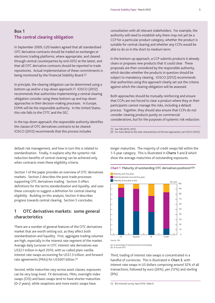## **Box 1 The central clearing obligation**

In September 2009, G20 leaders agreed that all standardised OTC derivative contracts should be traded on exchanges or electronic trading platforms, where appropriate, and cleared through central counterparties by end-2012 at the latest, and that all OTC derivative contracts should be reported to trade repositories. Actual implementation of these commitments is being monitored by the Financial Stability Board.(1)

In principle, the clearing obligation can be determined using a bottom-up and/or a top-down approach.(2) IOSCO (2012) recommends that authorities implementing a central clearing obligation consider using these bottom-up and top-down approaches in their decision-making processes. In Europe, ESMA will be the responsible authority. In the United States, this role falls to the CFTC and the SEC.

In the top-down approach, the responsible authority identifies the classes of OTC derivatives contracts to be cleared. IOSCO (2012) recommends that this process includes

consultation with all relevant stakeholders. For example, the authority will need to establish why there may not yet be a CCP for a particular product category, whether the product is suitable for central clearing and whether any CCPs would be able to do so in the short to medium term.

In the bottom-up approach, a CCP submits products it already clears or proposes new products that it could clear. These proposals are then considered by the responsible authority, which decides whether the products in question should be subject to mandatory clearing. IOSCO (2012) recommends that authorities using this approach clearly set out the criteria against which the clearing obligation will be assessed.

Both approaches should be mutually reinforcing and ensure that CCPs are not forced to clear a product where they or their participants cannot manage the risks, including a default process. Together, they should also ensure that CCPs do not consider clearing products purely on commercial considerations, but for the purposes of systemic risk reduction.

(2) For more detail on the main characteristics of the two approaches, see IOSCO (2012).

default risk management, and how in turn this is related to standardisation. Finally, it explains why the systemic risk reduction benefits of central clearing can be achieved only when contracts meet these eligibility criteria.

Section 1 of the paper provides an overview of OTC derivatives markets. Section 2 describes the post-trade processes supporting OTC derivatives trading. Section 3 offers definitions for the terms *standardisation* and *liquidity*, and uses these concepts to suggest a definition for *central clearing eligibility*. Building on this analysis, Section 4 describes progress towards central clearing. Section 5 concludes.

## **1 OTC derivatives markets: some general characteristics**

There are a number of general features of the OTC derivatives market that are worth setting out, as they affect both standardisation and liquidity. First, aggregate trading volumes are high, especially in the interest rate segment of the market. Average daily turnover in OTC interest rate derivatives was US\$2.1 trillion in April 2010, with so-called plain-vanilla interest rate swaps accounting for US\$1.3 trillion, and forward rate agreements (FRAs) for US\$601 billion.(1)

Second, while maturities vary across asset classes, exposures can be very long-lived. FX derivatives, FRAs, overnight index swaps (OIS) and basis swaps tend to have shorter maturities (0–2 years), while swaptions and more exotic swaps have

longer maturities. The majority of credit swaps fall within the 1–5 year category. This is illustrated in **Charts 1** and **2** which show the average maturities of outstanding exposures.

## **Chart 1** Maturity of outstanding OTC derivatives positions(a)(b)



<sup>(</sup>a) As percentage of notional amounts outstanding. (b) As at June 2011.

Third, trading of interest rate swaps is concentrated in a handful of currencies. This is illustrated in **Chart 3**, with interest rate swaps in US dollars comprising around 32% of all transactions, followed by euro (26%), yen (12%) and sterling (9%).

<sup>(1)</sup> See FSB (2010, 2011).

<sup>(1)</sup> BIS triennial survey, April 2010, Table 6.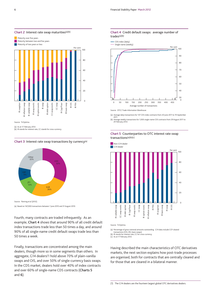

Source: TriOptima.

(a) As at 17 February 2012. (b) IR stands for interest rate, CC stands for cross-currency.

#### **Chart 3** Interest rate swap transactions by currency(a)



Source: Fleming *et al* (2012). (a) Based on 167,000 transactions between 1 June 2010 and 31 August 2010.

Fourth, many contracts are traded infrequently. As an example, **Chart 4** shows that around 90% of all credit default index transactions trade less than 50 times a day, and around 90% of all single-name credit default swaps trade less than 50 times a week.

Finally, transactions are concentrated among the main dealers, though more so in some segments than others. In aggregate, G14 dealers(1) hold above 70% of plain-vanilla swaps and OIS, and over 50% of single-currency basis swaps. In the CDS market, dealers hold over 40% of index contracts and over 60% of single-name CDS contracts (**Charts 5** and **6**).

#### **Chart 4** Credit default swaps: average number of trades(a)(b)

- CDS index (daily)



(a) Average daily transactions for 137 CDS index contracts from 20 June 2011 to 19 September

2011. (b) Average weekly transactions for 1,000 single-name CDS contracts from 29 August 2011 to 24 February 2012.

#### **Chart 5** Counterparties to OTC interest rate swap transactions(a)(b)(c)



Source: TriOptima.

(a) Percentage of gross notional amounts outstanding. G14 data include CCP-cleared

transactions (OIS, IRS, basis swaps). (b) IR stands for interest rate, CC for cross-currency.

(c) As at 17 February 2012.

Having described the main characteristics of OTC derivatives markets, the next section explains how post-trade processes are organised, both for contracts that are centrally cleared and for those that are cleared in a bilateral manner.

(1) The G14 dealers are the fourteen largest global OTC derivatives dealers.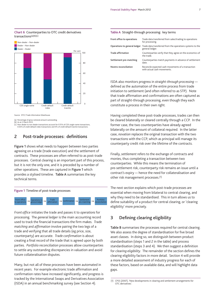

**Chart 6** Counterparties to OTC credit derivatives

Source: DTCC Trade Information Warehouse.

(a) Percentage of gross notional amount outstanding. (b) As at 2 March 2012. (c) Non-dealer to non-dealer transactions account for 0.15% of CDS single-name transactions,

0.05% of credit default index transactions and 0% of credit default tranche transactions.

## **2 Post-trade processes: definitions**

**Figure 1** shows what needs to happen between two parties agreeing on a trade (trade execution) and the settlement of contracts. These processes are often referred to as post-trade processes. Central clearing is an important part of this process, but it is not the only one, and it is preceded by a number of other operations. These are captured in **Figure 1** which provides a stylised timeline. **Table A** summarises the key technical terms.



*Front office* initiates the trade and passes it to *operations* for processing. The *general ledger* is the main accounting record used to track the financial transactions the firm makes. *Trade matching* and *affirmation* involve pairing the two legs of a trade and verifying that all trade details (eg price, size, counterparty) are accurate. *Trade confirmation* is about creating a final record of the trade that is agreed upon by both parties. *Portfolio reconciliation* processes allow counterparties to settle any outstanding discrepancies in valuation and avoid future collateralisation disputes.

Many, but not all of these processes have been automated in recent years. For example electronic trade affirmation and confirmation rates have increased significantly, and progress is tracked by the International Swaps and Derivatives Association (ISDA) in an annual benchmarking survey (see Section 4).

#### **Table A** Straight-through processing: key terms

| Front office to operations   | Trade data transferred from sales/trading to operations<br>for processing.        |
|------------------------------|-----------------------------------------------------------------------------------|
| Operations to general ledger | Trade data transferred from the operations systems to the<br>general ledger.      |
| <b>Trade affirmation</b>     | Counterparties verify that they agree on the economics of<br>the trade.           |
| Settlement pre-matching      | Counterparties match payments in advance of settlement<br>date.                   |
| Nostro reconciliation        | Reconcile expected cash movements of a transaction<br>with actual cash movements. |

ISDA also monitors progress in *straight-through processing* defined as the automation of the entire process from trade initiation to settlement (and often referred to as STP). Note that trade affirmation and confirmations are often captured as part of straight-through processing, even though they each constitute a process in their own right.

Having completed these post-trade processes, trades can then be cleared bilaterally or cleared centrally through a CCP. In the former case, the two counterparties have already agreed bilaterally on the amount of collateral required. In the latter case, *novation* replaces the original transaction with the two transactions with the CCP, which as principal will manage its counterparty credit risk over the lifetime of the contracts.

Finally, *settlement* refers to the exchange of contracts and monies, thus completing a transaction between two counterparties. While this means the termination of pre-settlement risk, counterparty risk remains an issue until a contract's expiry — hence the need for collateralisation and other risk management processes.(1)

The next section explains which post-trade processes are essential when moving from bilateral to central clearing, and why they need to be standardised. This in turn allows us to define suitability of a product for central clearing, or 'clearing eligibility' more precisely.

## **3 Defining clearing eligibility**

**Table B** summarises the processes required for central clearing. We also assess the degree of standardisation for five broad asset classes. In doing so, we distinguish between product standardisation (steps 1 and 2 in the table) and process standardisation (steps 3 and 4). We then suggest a definition for *clearing eligibility*. The remainder of the section defines the clearing eligibility factors in more detail. Section 4 will provide a more detailed assessment of industry progress for each of these factors, based on available data, and will highlight data gaps.

<sup>(1)</sup> CPSS (2007), 'New developments in clearing and settlement arrangements for OTC derivatives'.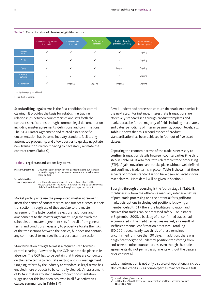

## **Table B** Current status of clearing eligibility factors

 $\checkmark$  = Significant progress achieved.

Source: Bank of England.

**Standardising legal terms** is the first condition for central clearing. It provides the basis for establishing trading relationships between counterparties and sets forth the contract specifications through common legal documentation including master agreements, definitions and confirmations. The ISDA Master Agreement and related asset-specific documentation has become industry standard, facilitating automated processing, and allows parties to quickly negotiate new transactions without having to necessarily recreate the contract terms (**Table C**).

#### **Table C** Legal standardisation: key terms

| <b>Master Agreement</b>                    | Document agreed between two parties that sets out standard<br>terms that apply to all the transactions entered into between<br>those parties.                                         |
|--------------------------------------------|---------------------------------------------------------------------------------------------------------------------------------------------------------------------------------------|
| Schedule to the<br><b>Master Agreement</b> | Used to make amendments to and customisations of the<br>Master Agreement including thresholds relating to certain events<br>of default and the offices through which parties can act. |

Market participants use the pre-printed master agreement, insert the names of counterparties, and further customise their transaction through use of the *schedule* to the master agreement. The latter contains elections, additions and amendments to the master agreement. Together with the schedule, the master agreement sets forth all of the general terms and conditions necessary to properly allocate the risks of the transactions between the parties, but does not contain any commercial terms specific to a particular transaction.

Standardisation of legal terms is a required step towards central clearing. Novation by the CCP cannot take place in its absence. The CCP has to be certain that trades are conducted on the same terms to facilitate netting and risk management. Ongoing efforts by the industry to standardise legal terms has enabled more products to be centrally cleared. An assessment of ISDA initiatives to standardise product documentation suggests that this has been achieved in all five derivatives classes summarised in **Table B**.(1)

A well-understood process to capture the **trade economics** is the next step. For instance, interest rate transactions are effectively standardised through product templates and market practice for the majority of fields including start dates, end dates, periodicity of interim payments, coupon levels, etc. **Table B** shows that this second aspect of product standardisation has been achieved in four out of five asset classes.

Capturing the economic terms of the trade is necessary to **confirm** transaction details between counterparties (the third step in **Table B**). It also facilitates electronic trade processing (STP). Again, novation cannot take place without well defined and confirmed trade terms in place. **Table B** shows that these aspects of process standardisation have been achieved in four asset classes. More detail will be given in Section 4.

**Straight-through processing** is the fourth stage in **Table B**. It reduces risk from the otherwise manually intensive nature of post-trade processing and the potential for significant market disruptions in closing out positions following a member default. STP therefore facilitates novation and ensures that trades can be processed safely. For instance, in September 2005, a backlog of unconfirmed trades had accumulated in the credit derivatives market, as a result of inefficient manual confirmation processes. Totalling 150,000 trades, nearly two thirds of these remained unconfirmed for more than 30 days. In addition, there was a significant degree of unilateral position transferring from end-users to other counterparties, even though the trade agreements did not permit assignments without the dealer's prior consent.(2)

Lack of automation is not only a source of operational risk, but also creates credit risk as counterparties may not have a full

<sup>(1)</sup> www2.isda.org/asset-classes/.

<sup>(2)</sup> GAO (2007), 'Credit derivatives: confirmation backlogs increased dealers' operational risks'.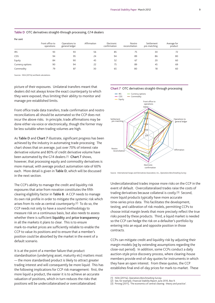| .                |                               |                                 |             |                            |                          |                            |                        |  |
|------------------|-------------------------------|---------------------------------|-------------|----------------------------|--------------------------|----------------------------|------------------------|--|
|                  | Front office to<br>operations | Operations to<br>general ledger | Affirmation | Electronic<br>confirmation | Nostro<br>reconciliation | Settlement<br>pre-matching | Average for<br>product |  |
| <b>IRS</b>       | 93                            | 93                              | 56          | 85                         |                          | 30                         | 72                     |  |
| CDS              | 94                            | 95                              | 24          | 94                         | 89                       | 86                         | 80                     |  |
| Equity           | 84                            | 90                              | 45          | 52                         | 67                       | 20                         | 60                     |  |
| Currency options | 90                            | 94                              | 22          | 75                         | 89                       | 45                         | 69                     |  |
| Commodity        | 79                            | 87                              | 30          | 65                         | 80                       | 18                         | 60                     |  |

#### **Table D** OTC derivatives straight-through processing, G14 dealers

Sources: ISDA (2011a) and Bank calculations.

**Per cent**

picture of their exposures. Unilateral transfers meant that dealers did not always know the exact counterparty to which they were exposed, thus limiting their ability to monitor and manage pre-established limits.

Front office trade data transfers, trade confirmation and nostro reconciliations all should be automated so the CCP does not incur the above risks. In principle, trade affirmations may be done either via voice or electronically, though the former may be less suitable when trading volumes are high.

As **Table D** and **Chart 7** illustrate, significant progress has been achieved by the industry in automating trade processing. The chart shows that on average, just over 70% of interest rate derivative volume and 80% of credit derivative volume have been automated by the G14 dealers.(1) **Chart 7** shows, however, that processing equity and commodity derivatives is more manual, with average product automation rate of 60% each. More detail is given in **Table D**, which will be discussed in the next section.

The CCP's ability to manage the credit and liquidity risk exposures that arise from novation constitutes the fifth clearing eligibility factor in **Table B**. A CCP needs to manage its own risk profile in order to mitigate the systemic risk which arises from its role as central counterparty.<sup>(2)</sup> To do so, the CCP needs not only to have a sound methodology to measure risk on a continuous basis, but also needs to assess whether there is sufficient **liquidity** and **price transparency** in all the markets it plans to clear. This is to ensure mark-to-market prices are sufficiently reliable to enable the CCP to value its positions and to ensure that a member's position could be absorbed by the market in the event of a default scenario.

It is at the point of a member failure that product standardisation (underlying asset, maturity etc) matters most — the more standardised product is likely to attract greater trading interest and will consequently be more liquid. This has the following implications for CCP risk management: first, the more liquid a product, the easier it is to achieve an accurate valuation of positions, which in turn reduces the risks that positions will be undercollateralised or overcollateralised.





Source: International Swaps and Derivatives Association, Inc., *Operations Benchmarking Survey*.

Undercollateralised trades impose more risks on the CCP in the event of default. Overcollateralised trades raise the costs of trading derivatives because collateral is costly.(3) Second, more liquid products typically have more accurate time-series price data. This facilitates the development, testing, and calibration of risk models, permitting CCPs to choose initial margin levels that more precisely reflect the true risks posed by these products. Third, a liquid market is needed so the CCP can hedge the risk on a defaulter's portfolio by entering into an equal and opposite position in those contracts.

CCPs can mitigate credit and liquidity risk by adjusting their margin models (eg by extending assumptions regarding the close-out period). In addition, some CCPs conduct a daily auction-style price discovery process, where clearing-house members provide end-of-day quotes for instruments in which they have an open interest. From these quotes, the CCP establishes final end-of-day prices for mark-to-market. These

<sup>(1)</sup> ISDA (2011a), *Operations Benchmarking Survey*.

<sup>(2)</sup> See, for example, *Financial Stability Report*, June 2010, Box 9.

<sup>(3)</sup> Pirrong (2011), 'The economics of central clearing: theory and practice'.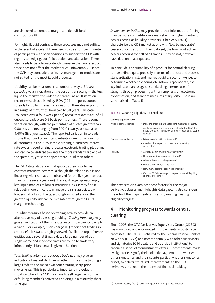are also used to compute margin and default fund contributions.(1)

For highly illiquid contracts these processes may not suffice. In the event of a default there needs to be a sufficient number of participants with open positions to support the CCP with regards to hedging, portfolio auction, and allocation. There also needs to be adequate depth to ensure that any executed trade does not affect the market price unfavourably. Hence, the CCP may conclude that its risk management models are not suited for the most illiquid products.

Liquidity can be measured in a number of ways. *Bid-ask spreads* give an indication of the cost of transacting — the less liquid the market, the wider the spread. As an illustration, recent research published by ISDA (2011b) reports quoted spreads for dollar interest rate swaps on three dealer platforms in a range of maturities, from two to 30 years. The data (collected over a four-week period) reveal that over 90% of all quoted spreads were 0.5 basis points or less. There is some variation though, with the percentage of quotes greater than 0.80 basis points ranging from 2.10% (two-year swaps) to 4.40% (five-year swaps). The reported variation in spreads shows that liquidity and standardisation are not synonymous: all contracts in the ISDA sample are single-currency interest rate swaps traded on single-dealer electronic trading platforms and can be considered towards the more standardised end of the spectrum, yet some appear more liquid than others.

The ISDA data also show that quoted spreads widen as contract maturity increases, although the relationship is not linear (eg wider spreads are observed for the five-year contract, than for the seven-year one). Hence, if larger spreads imply less liquid markets at longer maturities, a CCP may find it relatively more difficult to manage the risks associated with longer-maturity contracts, although as noted above, the greater liquidity risk can be mitigated through the CCP's margin methodology.

Liquidity measures based on trading activity provide an alternative way of assessing liquidity. *Trading frequency* may give an indication of the time it takes to find a counterparty to a trade. For example, Chen *et al* (2011) report that trading in credit default swaps is highly skewed. While the top reference entities trade several times a day, a large number of both single-name and index contracts are found to trade very infrequently. More detail is given in Section 4.

*Total trading volume* and *average trade size* may give an indication of market depth — whether it is possible to bring a large trade to the market without creating sharp price movements. This is particularly important in a default situation where the CCP may have to sell large parts of the defaulting member's derivatives holdings in a relatively short time span.

*Dealer concentration* may provide further information. Pricing may be more competitive in a market with a higher number of dealers acting as liquidity providers. Chen *et al* (2011) characterise the CDS market as one with 'low to moderate' dealer concentration. In their data set, the four most active dealers account for half of all trades. They do not, however, have data on dealer quotes.

To conclude, the suitability of a product for central clearing can be defined quite precisely in terms of product and process standardisation first, and market liquidity second. Hence, to determine whether a clearing obligation is appropriate, the key indicators are usage of standard legal terms, use of straight-through processing with an emphasis on electronic confirmation, and standard measures of liquidity. These are summarised in **Table E**.

#### **Table E** Clearing eligibility: a checklist

| Clearing eligibility factor |                                                                                                                                  |  |  |  |  |
|-----------------------------|----------------------------------------------------------------------------------------------------------------------------------|--|--|--|--|
| Product standardisation     | • Does the product have a standard master agreement?                                                                             |  |  |  |  |
|                             | • Are trade economics sufficiently standardised (eg start<br>dates, end dates, frequency of interim payments, coupon<br>levels)? |  |  |  |  |
| Process standardisation     | · Is trade confirmation automated?                                                                                               |  |  |  |  |
|                             | • Are the other aspects of post-trade processing<br>automated?                                                                   |  |  |  |  |
| Liquidity                   | • Are reliable bid and ask quotes available?                                                                                     |  |  |  |  |
|                             | • How frequently are contracts traded?                                                                                           |  |  |  |  |
|                             | • What is the total trading volume?                                                                                              |  |  |  |  |
|                             | • What is the average trade size?                                                                                                |  |  |  |  |
|                             | • How many dealers support the product?                                                                                          |  |  |  |  |
|                             | • Can the CCP risk manage its exposure, even if liquidity<br>changes over time?                                                  |  |  |  |  |

The next section examines these factors for the major derivatives classes and highlights data gaps. It also considers the role of the major dealers in setting existing clearing eligibility targets.

## **4 Monitoring progress towards central clearing**

Since 2005, the OTC Derivatives Supervisors Group (ODSG) has monitored and encouraged improvements in post-trade processes. The ODSG is chaired by the Federal Reserve Bank of New York (FRBNY) and meets annually with other supervisors and signatories (G14 dealers and buy-side institutions) to produce a series of 'commitment letters'. Commitments made by signatories signify their collective agreement to work with other signatories and their counterparties, whether signatories or not, to deliver structural improvements to the OTC derivatives market in the interest of financial stability.

<sup>(1)</sup> Futures Industry (2011), 'CDS clearing at ICE: a unique methodology'.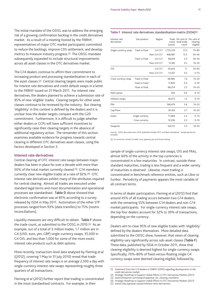The initial mandate of the ODSG was to address the emerging risk of a growing confirmation backlog in the credit derivatives market. As a result of a meeting hosted by the FRBNY, representatives of major OTC market participants committed to reduce the backlogs, improve CDS settlement, and develop metrics to measure industry progress.(1) The ODSG mandate subsequently expanded to include structural improvements across all asset classes in the OTC derivatives market.

The G14 dealers continue to affirm their commitment to increasing product and processing standardisation in each of the asset classes.(2) Central clearing targets were made public for interest rate derivatives and credit default swaps in a letter to the FRBNY issued on 31 March 2011. For interest rate derivatives, the dealers planned to achieve a submission rate of 95% of new 'eligible' trades. Clearing targets for other asset classes continue to be reviewed by the industry. But clearing 'eligibility' in this context is defined by the dealers and it is unclear how the dealer targets compare with the G20 commitment. Furthermore, it is difficult to judge whether either dealers or CCPs will have sufficient incentives to significantly raise their clearing targets in the absence of additional regulatory action. The remainder of this section examines available evidence for progress towards central clearing in different OTC derivatives asset classes, using the factors developed in Section 3.

## **Interest rate derivatives**

Central clearing of OTC interest rate swaps between major dealers has been in place for over a decade with more than 50% of the total market currently cleared.(3) G14 members currently clear new eligible trades at a rate of 92%.(4) OTC interest rate derivatives exhibit many of the attributes required for central clearing. Almost all trades are executed under standard legal terms and most documentation and operational processes are standardised. **Table D** above showed that electronic confirmation was at 85% according to a survey released by ISDA in May 2011. Automation of the other STP processes ranged from 93% (data transfers) to 75% (nostro reconciliations).

Liquidity measures are very difficult to obtain. **Table F** shows the trade count, as submitted to the ODSG in 2010.(5) As an example, out of a total of 3 million trades, 1.7 million are in G4 (USD, euro, yen, GBP) single-currency swaps, 35,000 in G4 OIS, and less than 1,000 for some of the more exotic interest rate products such as debt options.

More recently, transaction-level data analysed by Fleming *et al* ((2012), covering 1 May to 31 July 2010) reveal that trade frequency of interest rate swaps is on average 2,500 a day with single-currency interest rate swaps representing roughly three quarters of all transactions.

Fleming *et al* (2012) further report that trading is concentrated in the most standardised contracts. For example, in their

| Table F Interest rate derivatives standardisation matrix (ISDA) <sup>(a)</sup> |  |  |  |
|--------------------------------------------------------------------------------|--|--|--|
|--------------------------------------------------------------------------------|--|--|--|

| Interest rate<br>derivatives | Sub-product     | Region     | (stock)   | Trade Per cent of Per cent of<br>count total trade<br>count | clearing<br>eligible |
|------------------------------|-----------------|------------|-----------|-------------------------------------------------------------|----------------------|
| Single-currency swap         | Fixed vs Float  | G4 CCY     | 1,735,319 | 57.3                                                        | $70 - 80$            |
|                              |                 | Non-G4 CCY | 468,981   | 15.5                                                        | $30 - 40$            |
|                              | Float vs Float  | G4 CCY     | 98,619    | 3.3                                                         | $20 - 30$            |
|                              |                 | Non-G4 CCY | 15,185    | 0.5                                                         | $10 - 20$            |
| OIS                          |                 | G4 CCY     | 34,624    | 1.1                                                         | $50 - 60$            |
|                              |                 | Non-G4 CCY | 14,451    | 0.5                                                         | $0 - 10$             |
| Cross-currency swap          | Fixed vs Float  |            | 48,080    | 1.6                                                         | $10 - 20$            |
|                              | Fixed vs Fixed  |            | 11,800    | 0.4                                                         | $0 - 10$             |
|                              | Float vs Float  |            | 68,254    | 2.3                                                         | $10 - 20$            |
| Debt option                  |                 |            | 393       | 0.0                                                         | $0 - 10$             |
| Inflation swaps              |                 |            | 36,013    | 1.2                                                         | $0 - 10$             |
| <b>FRA</b>                   |                 |            | 168,479   | 5.6                                                         | $10 - 20$            |
| Cap/Floor                    |                 |            | 81,163    | 2.7                                                         | $10 - 20$            |
| Exotic                       | Single currency |            | 71,984    | 2.4                                                         | $0 - 10$             |
|                              | Cross currency  |            | 10,336    | 0.3                                                         | $0 - 10$             |
| Swaption                     |                 |            | 164,151   | 5.4                                                         | $10 - 20$            |

Sources: ODSG data submission 2010, published October 2011, and Bank calculations. Sample period not available.

(a) G4 currencies include US dollar, euro, Japanese yen and Pound sterling.

sample of single-currency interest rate swaps, OIS and FRAs, almost 60% of the activity in the top currencies is concentrated in a few maturities. In contrast, outside these standard maturities, trading is less frequent and a wider variety of maturities is observed. Likewise, most trading is concentrated in benchmark reference entities, such as Libor or Euribor. Periodicity of payments appears the most variable of all contract terms.

In terms of dealer participation, Fleming *et al* (2012) find that around 45% of all trading occurs between two G14 dealers, with the remaining 55% between G14 dealers and non-G14 market participants. For single-currency interest rate swaps, the top four dealers account for 32% to 39% of transactions, depending on the currency.

Dealers aim to clear 95% of new eligible trades with 'eligibility' defined by the dealers themselves. More detailed data submitted to the ODSG show, however, that views of clearing eligibility vary significantly across sub-asset classes (**Table F**). These data, published by ISDA in October 2011, show that clearing eligibility is deemed highest for single-currency swaps. Specifically, 70%–80% of fixed-versus-floating single G4 currency swaps were deemed clearing eligible, followed by

(5) www2.isda.org/asset-classes/interest-rates-derivatives/.

<sup>(1)</sup> Statement from the G14 dealers to FRBNY (2005) regarding developments in the credit derivatives market.

<sup>(2)</sup> Strategic Roadmap to Support Global Efforts in OTC Derivatives Markets (2011).

<sup>(3)</sup> www.lchclearnet.com/swaps/swapclear\_for\_clearing\_members/. (4) Strategic Roadmap to Support Global Efforts in OTC Derivatives Markets (2011).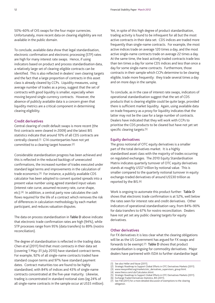50%–60% of OIS swaps for the four major currencies. Unfortunately, more recent data on clearing eligibility are not available in the public domain.

To conclude, available data show that legal standardisation, electronic confirmation and electronic processing (STP) rates are high for many interest rate swaps. Hence, if using indicators based on product and process standardisation data, a relatively large set of clearing-eligible contracts can be identified. This is also reflected in dealers' own clearing targets and the fact that a large proportion of contracts in this asset class is already cleared by CCPs. Liquidity measures, using average number of trades as a proxy, suggest that the set of contracts with good liquidity is smaller, especially when moving beyond single-currency contracts. However, the absence of publicly available data is a concern given that liquidity metrics are a critical component in determining clearing eligibility.

## **Credit derivatives**

Central clearing of credit default swaps is more recent (the first contracts were cleared in 2009) and the latest BIS statistics indicate that around 10% of all CDS contracts are centrally cleared.(1) G14 counterparties have not yet committed to a clearing target however.(2)

Considerable standardisation progress has been achieved and this is reflected in the reduced backlogs of unexecuted confirmations, the increased number of trades executed under standard legal terms and improvements in the calculation of trade economics.(3) For instance, a publicly available CDS calculator has been adopted to convert quoted spreads into a present value number using agreed standard input values (interest rate curve, assumed recovery rate, curve shape, etc).(4) In addition, a central party now calculates the cash flows required for the life of a contract which removes the risk of differences in calculation methodology by each market participant, and reduces valuation disputes.

The data on process standardisation in **Table D** above indicate that electronic trade confirmation rates are high (94%), while STP processes range from 95% (data transfers) to 89% (nostro reconciliation).

The degree of standardisation is reflected in the trading data. Chen *et al* (2011) find that most contracts in their data set (covering 1 May–31 July 2010) have standard contract terms. For example, 92% of all single-name contracts traded have standard coupon terms and 97% have standard payment dates. Contract maturities too are found to be highly standardised, with 84% of indices and 43% of single-name contracts concentrated at the five-year maturity. Likewise, trading is concentrated in standard notional sizes (eg 24% of all single-name contracts in the sample occur at US\$5 million). Yet, in spite of this high degree of product standardisation, trading activity is found to be infrequent for all but the most active contracts in their data set. CDS indices are traded more frequently than single-name contracts. For example, the most active indices trade on average 120 times a day, and the most active single-name contracts trade on average 22 times a day. At the same time, the least actively traded contracts trade less than ten times a day for some CDS indices and less than once a day for some single-name contracts. Furthermore, those contracts in their sample which CCPs determine to be clearing eligible, trade more frequently: they trade several times a day and on more days in the sample.

To conclude, as in the case of interest rate swaps, indicators of operational standardisation suggest that the set of CDS products that is clearing eligible could be quite large, provided there is sufficient market liquidity. Again, using available data on trade frequency as a proxy for liquidity indicates that the latter may not be the case for a large number of contracts. Dealers have indicated that they will work with CCPs to prioritise the CDS products to be cleared but have not yet set specific clearing targets.(5)

## **Equity derivatives**

The gross notional of OTC equity derivatives is a smaller part of the total derivatives market. It is a highly standardised asset class with the majority of trades occurring on regulated exchanges. The 2010 Equity Standardisation Matrix indicates quarterly turnover of OTC equity derivatives stands at roughly US\$7 trillion by notional value. This is smaller compared to the quarterly notional turnover in equity exchange-traded derivatives of around US\$30 trillion as reported by the BIS.(6)

Work is ongoing to automate this product further: **Table D** shows that electronic trade confirmation is at 52%, well below the rates seen for interest rate and credit derivatives. Other indicators of operational standardisation vary, from 84%–90% for data transfers to 67% for nostro reconciliation. Dealers have not yet set any public clearing targets for equity derivatives.

## **Other derivatives**

For FX derivatives it is less clear what the clearing obligations will be as the US Government has argued for FX swaps and forwards to be exempt.(7) **Table D** shows that product standardisation is ongoing for commodity derivatives. Major dealers have partnered with ISDA to further standardise legal

(3) www.newyorkfed.org/markets/otc\_derivatives\_supervisors\_group.html.

(5) Strategic Roadmap to Support Global Efforts in OTC Derivatives Markets (2011).

<sup>(1)</sup> See also Heller and Vause (2011).<br>(2) Strategic Roadman to Support Gl

<sup>(2)</sup> Strategic Roadmap to Support Global Efforts in OTC Derivatives Markets (2011).

<sup>(4)</sup> www.theice.com/cds/Calculator.shtml.

<sup>(6)</sup> Exchange Traded Derivatives Statistics, BIS (2011).

<sup>(7)</sup> See FSB (2011) for a more detailed discussion of exemptions to the clearing obligation.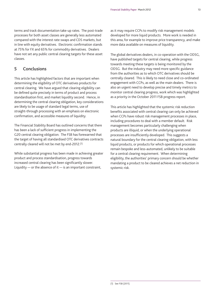terms and track documentation take-up rates. The post-trade processes for both asset classes are generally less automated compared with the interest rate swaps and CDS markets, but in line with equity derivatives. Electronic confirmation stands at 75% for FX and 65% for commodity derivatives. Dealers have not set any public central clearing targets for these asset classes.

## **5 Conclusions**

This article has highlighted factors that are important when determining the eligibility of OTC derivatives products for central clearing. We have argued that clearing eligibility can be defined quite precisely in terms of product and process standardisation first, and market liquidity second. Hence, in determining the central clearing obligation, key considerations are likely to be usage of standard legal terms, use of straight-through processing with an emphasis on electronic confirmation, and accessible measures of liquidity.

The Financial Stability Board has outlined concerns that there has been a lack of sufficient progress in implementing the G20 central clearing obligation. The FSB has forewarned that the target of having all standardised OTC derivatives contracts centrally cleared will not be met by end-2012.(1)

While substantial progress has been made in achieving greater product and process standardisation, progress towards increased central clearing has been significantly slower. Liquidity  $-$  or the absence of it  $-$  is an important constraint,

as it may require CCPs to modify risk management models developed for more liquid products. More work is needed in this area, for example to improve price transparency, and make more data available on measures of liquidity.

The global derivatives dealers, in co-operation with the ODSG, have published targets for central clearing, while progress towards meeting these targets is being monitored by the ODSG. But the industry may need more specific guidance from the authorities as to which OTC derivatives should be centrally cleared. This is likely to need close and co-ordinated engagement with CCPs, as well as the main dealers. There is also an urgent need to develop precise and timely metrics to monitor central clearing progress, work which was highlighted as a priority in the October 2011 FSB progress report.

This article has highlighted that the systemic risk reduction benefits associated with central clearing can only be achieved when CCPs have robust risk management processes in place, including procedures to deal with a member default. Risk management becomes particularly challenging when products are illiquid, or when the underlying operational processes are insufficiently developed. This suggests a natural boundary for the central clearing obligation, with less liquid products, or products for which operational processes remain bespoke and less-automated, unlikely to be suitable for a central clearing requirement. When determining eligibility, the authorities' primary concern should be whether mandating a product to be cleared achieves a net reduction in systemic risk.